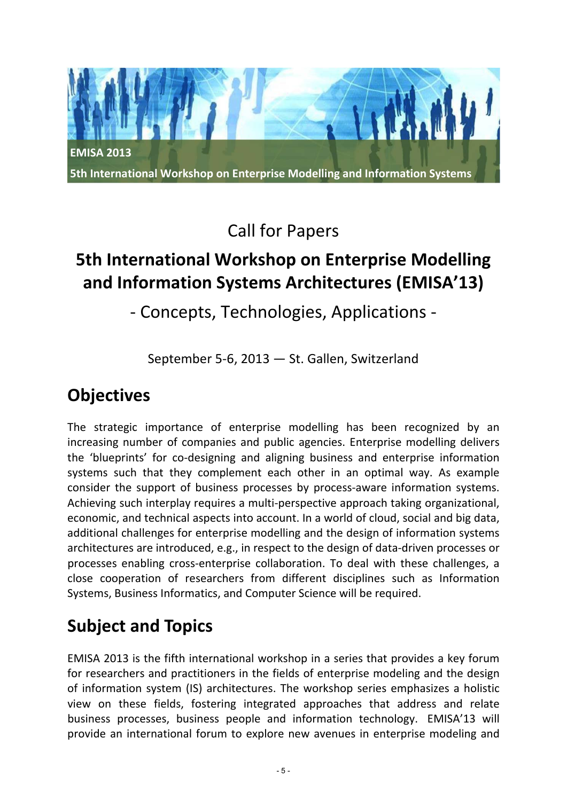

Call for Papers

# **5th International Workshop on Enterprise Modelling and Information Systems Architectures (EMISA'13)**

## ‐ Concepts, Technologies, Applications ‐

September 5‐6, 2013 — St. Gallen, Switzerland

## **Objectives**

The strategic importance of enterprise modelling has been recognized by an increasing number of companies and public agencies. Enterprise modelling delivers the 'blueprints' for co-designing and aligning business and enterprise information systems such that they complement each other in an optimal way. As example consider the support of business processes by process-aware information systems. Achieving such interplay requires a multi‐perspective approach taking organizational, economic, and technical aspects into account. In a world of cloud, social and big data, additional challenges for enterprise modelling and the design of information systems architectures are introduced, e.g., in respect to the design of data‐driven processes or processes enabling cross‐enterprise collaboration. To deal with these challenges, a close cooperation of researchers from different disciplines such as Information Systems, Business Informatics, and Computer Science will be required.

# **Subject and Topics**

EMISA 2013 is the fifth international workshop in a series that provides a key forum for researchers and practitioners in the fields of enterprise modeling and the design of information system (IS) architectures. The workshop series emphasizes a holistic view on these fields, fostering integrated approaches that address and relate business processes, business people and information technology. EMISA'13 will provide an international forum to explore new avenues in enterprise modeling and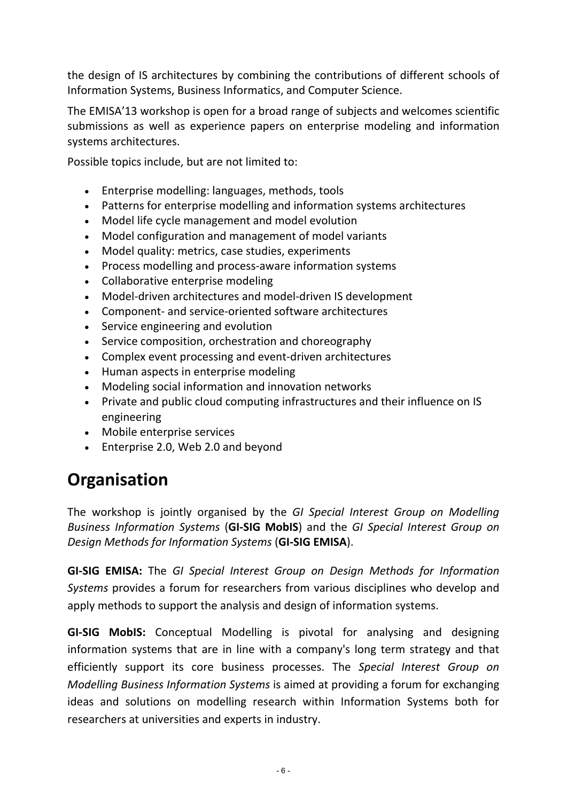the design of IS architectures by combining the contributions of different schools of Information Systems, Business Informatics, and Computer Science.

The EMISA'13 workshop is open for a broad range of subjects and welcomes scientific submissions as well as experience papers on enterprise modeling and information systems architectures.

Possible topics include, but are not limited to:

- Enterprise modelling: languages, methods, tools
- Patterns for enterprise modelling and information systems architectures
- Model life cycle management and model evolution
- Model configuration and management of model variants
- Model quality: metrics, case studies, experiments
- Process modelling and process-aware information systems
- Collaborative enterprise modeling
- Model-driven architectures and model-driven IS development
- Component‐ and service‐oriented software architectures
- Service engineering and evolution
- Service composition, orchestration and choreography
- Complex event processing and event‐driven architectures
- Human aspects in enterprise modeling
- Modeling social information and innovation networks
- Private and public cloud computing infrastructures and their influence on IS engineering
- Mobile enterprise services
- Enterprise 2.0, Web 2.0 and beyond

# **Organisation**

The workshop is jointly organised by the *GI Special Interest Group on Modelling Business Information Systems* (**GI‐SIG MobIS**) and the *GI Special Interest Group on Design Methods for Information Systems* (**GI‐SIG EMISA**).

**GI‐SIG EMISA:** The *GI Special Interest Group on Design Methods for Information Systems* provides a forum for researchers from various disciplines who develop and apply methods to support the analysis and design of information systems.

**GI‐SIG MobIS:** Conceptual Modelling is pivotal for analysing and designing information systems that are in line with a company's long term strategy and that efficiently support its core business processes. The *Special Interest Group on Modelling Business Information Systems* is aimed at providing a forum for exchanging ideas and solutions on modelling research within Information Systems both for researchers at universities and experts in industry.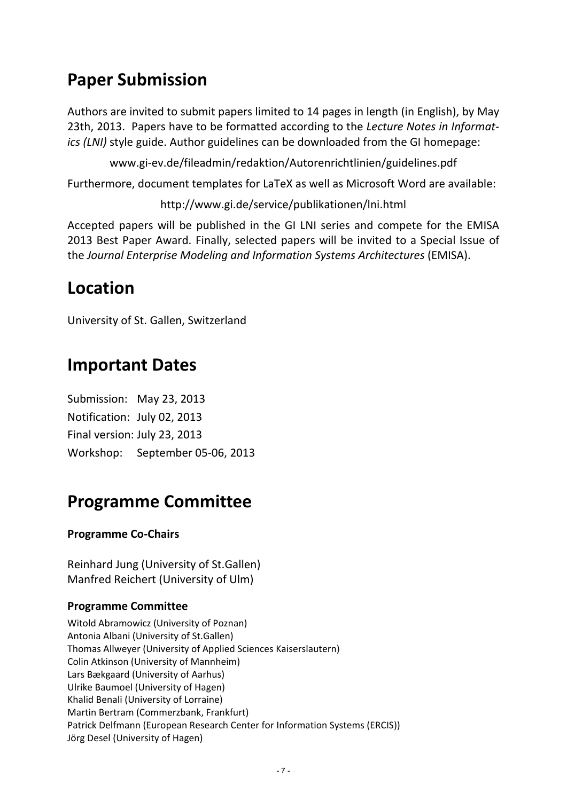## **Paper Submission**

Authors are invited to submit papers limited to 14 pages in length (in English), by May 23th, 2013. Papers have to be formatted according to the *Lecture Notes in Informat‐ ics (LNI)* style guide. Author guidelines can be downloaded from the GI homepage:

www.gi‐ev.de/fileadmin/redaktion/Autorenrichtlinien/guidelines.pdf

Furthermore, document templates for LaTeX as well as Microsoft Word are available:

http://www.gi.de/service/publikationen/lni.html

Accepted papers will be published in the GI LNI series and compete for the EMISA 2013 Best Paper Award. Finally, selected papers will be invited to a Special Issue of the *Journal Enterprise Modeling and Information Systems Architectures* (EMISA).

### **Location**

University of St. Gallen, Switzerland

### **Important Dates**

Submission: May 23, 2013 Notification: July 02, 2013 Final version: July 23, 2013 Workshop: September 05‐06, 2013

### **Programme Committee**

#### **Programme Co‐Chairs**

Reinhard Jung (University of St.Gallen) Manfred Reichert (University of Ulm)

#### **Programme Committee**

Witold Abramowicz (University of Poznan) Antonia Albani (University of St.Gallen) Thomas Allweyer (University of Applied Sciences Kaiserslautern) Colin Atkinson (University of Mannheim) Lars Bækgaard (University of Aarhus) Ulrike Baumoel (University of Hagen) Khalid Benali (University of Lorraine) Martin Bertram (Commerzbank, Frankfurt) Patrick Delfmann (European Research Center for Information Systems (ERCIS)) Jörg Desel (University of Hagen)